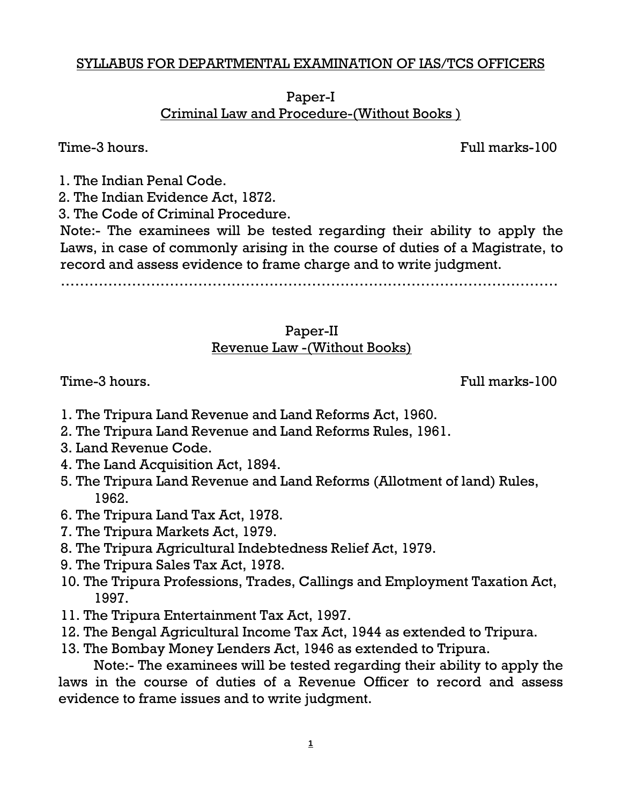#### SYLLABUS FOR DEPARTMENTAL EXAMINATION OF IAS/TCS OFFICERS

Paper-I Criminal Law and Procedure-(Without Books )

Time-3 hours. Full marks-100

1. The Indian Penal Code.

2. The Indian Evidence Act, 1872.

3. The Code of Criminal Procedure.

Note:- The examinees will be tested regarding their ability to apply the Laws, in case of commonly arising in the course of duties of a Magistrate, to record and assess evidence to frame charge and to write judgment.

……………………………………………………………………………………………

### Paper-II Revenue Law -(Without Books)

Time-3 hours. Time-3 hours.

- 1. The Tripura Land Revenue and Land Reforms Act, 1960.
- 2. The Tripura Land Revenue and Land Reforms Rules, 1961.
- 3. Land Revenue Code.
- 4. The Land Acquisition Act, 1894.
- 5. The Tripura Land Revenue and Land Reforms (Allotment of land) Rules, 1962.
- 6. The Tripura Land Tax Act, 1978.
- 7. The Tripura Markets Act, 1979.
- 8. The Tripura Agricultural Indebtedness Relief Act, 1979.
- 9. The Tripura Sales Tax Act, 1978.
- 10. The Tripura Professions, Trades, Callings and Employment Taxation Act, 1997.
- 11. The Tripura Entertainment Tax Act, 1997.
- 12. The Bengal Agricultural Income Tax Act, 1944 as extended to Tripura.
- 13. The Bombay Money Lenders Act, 1946 as extended to Tripura.

Note:- The examinees will be tested regarding their ability to apply the laws in the course of duties of a Revenue Officer to record and assess evidence to frame issues and to write judgment.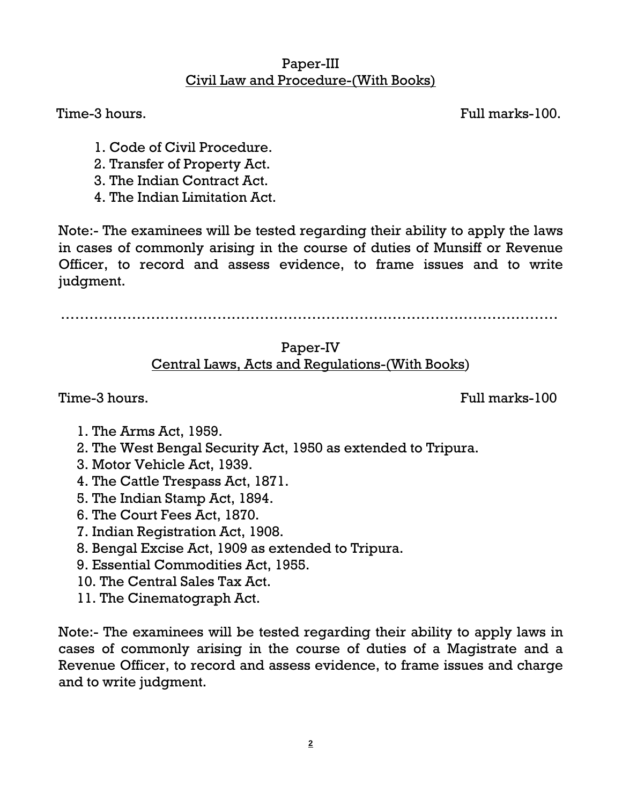#### Paper-III Civil Law and Procedure-(With Books)

Time-3 hours. Full marks-100.

- 1. Code of Civil Procedure.
- 2. Transfer of Property Act.
- 3. The Indian Contract Act.
- 4. The Indian Limitation Act.

Note:- The examinees will be tested regarding their ability to apply the laws in cases of commonly arising in the course of duties of Munsiff or Revenue Officer, to record and assess evidence, to frame issues and to write judgment.

……………………………………………………………………………………………

# Paper-IV Central Laws, Acts and Regulations-(With Books)

Time-3 hours. Time-3 hours.

- 1. The Arms Act, 1959.
- 2. The West Bengal Security Act, 1950 as extended to Tripura.
- 3. Motor Vehicle Act, 1939.
- 4. The Cattle Trespass Act, 1871.
- 5. The Indian Stamp Act, 1894.
- 6. The Court Fees Act, 1870.
- 7. Indian Registration Act, 1908.
- 8. Bengal Excise Act, 1909 as extended to Tripura.
- 9. Essential Commodities Act, 1955.
- 10. The Central Sales Tax Act.
- 11. The Cinematograph Act.

Note:- The examinees will be tested regarding their ability to apply laws in cases of commonly arising in the course of duties of a Magistrate and a Revenue Officer, to record and assess evidence, to frame issues and charge and to write judgment.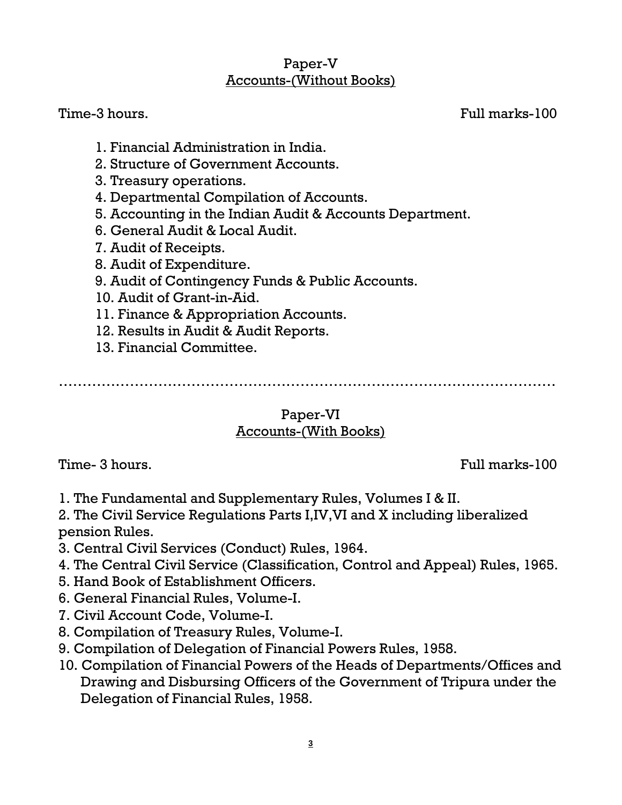### Paper-V Accounts-(Without Books)

Time-3 hours. Full marks-100

- 1. Financial Administration in India.
- 2. Structure of Government Accounts.
- 3. Treasury operations.
- 4. Departmental Compilation of Accounts.
- 5. Accounting in the Indian Audit & Accounts Department.
- 6. General Audit & Local Audit.
- 7. Audit of Receipts.
- 8. Audit of Expenditure.
- 9. Audit of Contingency Funds & Public Accounts.
- 10. Audit of Grant-in-Aid.
- 11. Finance & Appropriation Accounts.
- 12. Results in Audit & Audit Reports.
- 13. Financial Committee.

……………………………………………………………………………………………

### Paper-VI Accounts-(With Books)

Time- 3 hours. Full marks-100

- 1. The Fundamental and Supplementary Rules, Volumes I & II.
- 2. The Civil Service Regulations Parts I,IV,VI and X including liberalized pension Rules.
- 3. Central Civil Services (Conduct) Rules, 1964.
- 4. The Central Civil Service (Classification, Control and Appeal) Rules, 1965.
- 5. Hand Book of Establishment Officers.
- 6. General Financial Rules, Volume-I.
- 7. Civil Account Code, Volume-I.
- 8. Compilation of Treasury Rules, Volume-I.
- 9. Compilation of Delegation of Financial Powers Rules, 1958.
- 10. Compilation of Financial Powers of the Heads of Departments/Offices and Drawing and Disbursing Officers of the Government of Tripura under the Delegation of Financial Rules, 1958.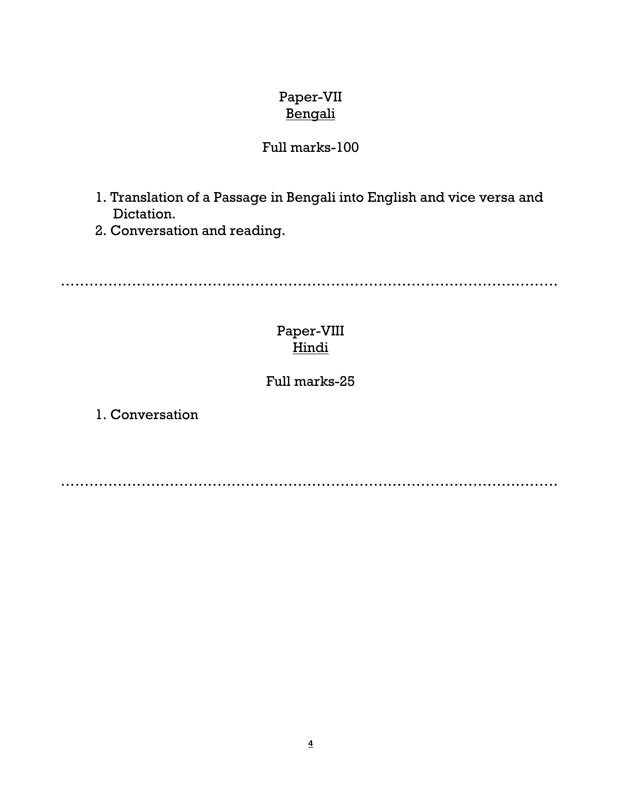# Paper-VII **Bengali**

## Full marks-100

- 1. Translation of a Passage in Bengali into English and vice versa and Dictation.
- 2. Conversation and reading.

……………………………………………………………………………………………

# Paper-VIII **Hindi**

### Full marks-25

1. Conversation

……………………………………………………………………………………………